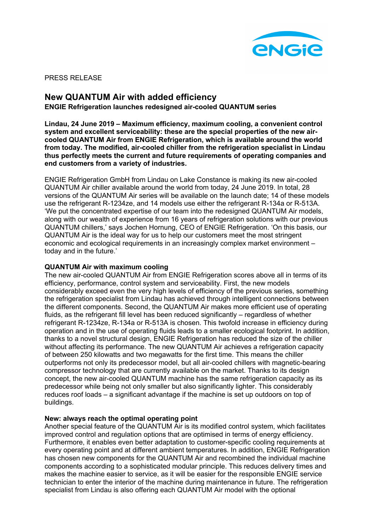

PRESS RELEASE

# **New QUANTUM Air with added efficiency**

**ENGIE Refrigeration launches redesigned air-cooled QUANTUM series**

**Lindau, 24 June 2019 – Maximum efficiency, maximum cooling, a convenient control system and excellent serviceability: these are the special properties of the new aircooled QUANTUM Air from ENGIE Refrigeration, which is available around the world from today. The modified, air-cooled chiller from the refrigeration specialist in Lindau thus perfectly meets the current and future requirements of operating companies and end customers from a variety of industries.**

ENGIE Refrigeration GmbH from Lindau on Lake Constance is making its new air-cooled QUANTUM Air chiller available around the world from today, 24 June 2019. In total, 28 versions of the QUANTUM Air series will be available on the launch date; 14 of these models use the refrigerant R-1234ze, and 14 models use either the refrigerant R-134a or R-513A. 'We put the concentrated expertise of our team into the redesigned QUANTUM Air models, along with our wealth of experience from 16 years of refrigeration solutions with our previous QUANTUM chillers,' says Jochen Hornung, CEO of ENGIE Refrigeration. 'On this basis, our QUANTUM Air is the ideal way for us to help our customers meet the most stringent economic and ecological requirements in an increasingly complex market environment – today and in the future.'

# **QUANTUM Air with maximum cooling**

The new air-cooled QUANTUM Air from ENGIE Refrigeration scores above all in terms of its efficiency, performance, control system and serviceability. First, the new models considerably exceed even the very high levels of efficiency of the previous series, something the refrigeration specialist from Lindau has achieved through intelligent connections between the different components. Second, the QUANTUM Air makes more efficient use of operating fluids, as the refrigerant fill level has been reduced significantly – regardless of whether refrigerant R-1234ze, R-134a or R-513A is chosen. This twofold increase in efficiency during operation and in the use of operating fluids leads to a smaller ecological footprint. In addition, thanks to a novel structural design, ENGIE Refrigeration has reduced the size of the chiller without affecting its performance. The new QUANTUM Air achieves a refrigeration capacity of between 250 kilowatts and two megawatts for the first time. This means the chiller outperforms not only its predecessor model, but all air-cooled chillers with magnetic-bearing compressor technology that are currently available on the market. Thanks to its design concept, the new air-cooled QUANTUM machine has the same refrigeration capacity as its predecessor while being not only smaller but also significantly lighter. This considerably reduces roof loads – a significant advantage if the machine is set up outdoors on top of buildings.

# **New: always reach the optimal operating point**

Another special feature of the QUANTUM Air is its modified control system, which facilitates improved control and regulation options that are optimised in terms of energy efficiency. Furthermore, it enables even better adaptation to customer-specific cooling requirements at every operating point and at different ambient temperatures. In addition, ENGIE Refrigeration has chosen new components for the QUANTUM Air and recombined the individual machine components according to a sophisticated modular principle. This reduces delivery times and makes the machine easier to service, as it will be easier for the responsible ENGIE service technician to enter the interior of the machine during maintenance in future. The refrigeration specialist from Lindau is also offering each QUANTUM Air model with the optional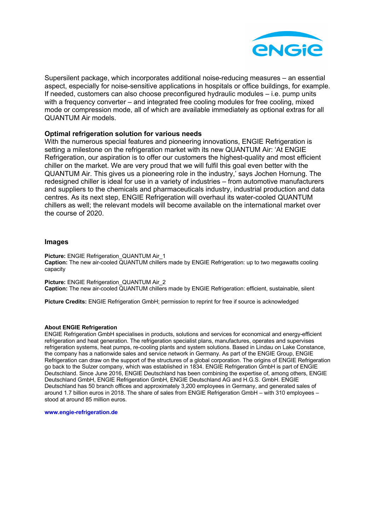

Supersilent package, which incorporates additional noise-reducing measures – an essential aspect, especially for noise-sensitive applications in hospitals or office buildings, for example. If needed, customers can also choose preconfigured hydraulic modules – i.e. pump units with a frequency converter – and integrated free cooling modules for free cooling, mixed mode or compression mode, all of which are available immediately as optional extras for all QUANTUM Air models.

## **Optimal refrigeration solution for various needs**

With the numerous special features and pioneering innovations, ENGIE Refrigeration is setting a milestone on the refrigeration market with its new QUANTUM Air: 'At ENGIE Refrigeration, our aspiration is to offer our customers the highest-quality and most efficient chiller on the market. We are very proud that we will fulfil this goal even better with the QUANTUM Air. This gives us a pioneering role in the industry,' says Jochen Hornung. The redesigned chiller is ideal for use in a variety of industries – from automotive manufacturers and suppliers to the chemicals and pharmaceuticals industry, industrial production and data centres. As its next step, ENGIE Refrigeration will overhaul its water-cooled QUANTUM chillers as well; the relevant models will become available on the international market over the course of 2020.

### **Images**

**Picture:** ENGIE Refrigeration\_QUANTUM Air\_1 **Caption:** The new air-cooled QUANTUM chillers made by ENGIE Refrigeration: up to two megawatts cooling capacity

**Picture:** ENGIE Refrigeration\_QUANTUM Air\_2 **Caption:** The new air-cooled QUANTUM chillers made by ENGIE Refrigeration: efficient, sustainable, silent

**Picture Credits:** ENGIE Refrigeration GmbH; permission to reprint for free if source is acknowledged

#### **About ENGIE Refrigeration**

ENGIE Refrigeration GmbH specialises in products, solutions and services for economical and energy-efficient refrigeration and heat generation. The refrigeration specialist plans, manufactures, operates and supervises refrigeration systems, heat pumps, re-cooling plants and system solutions. Based in Lindau on Lake Constance, the company has a nationwide sales and service network in Germany. As part of the ENGIE Group, ENGIE Refrigeration can draw on the support of the structures of a global corporation. The origins of ENGIE Refrigeration go back to the Sulzer company, which was established in 1834. ENGIE Refrigeration GmbH is part of ENGIE Deutschland. Since June 2016, ENGIE Deutschland has been combining the expertise of, among others, ENGIE Deutschland GmbH, ENGIE Refrigeration GmbH, ENGIE Deutschland AG and H.G.S. GmbH. ENGIE Deutschland has 50 branch offices and approximately 3,200 employees in Germany, and generated sales of around 1.7 billion euros in 2018. The share of sales from ENGIE Refrigeration GmbH – with 310 employees – stood at around 85 million euros.

**www.engie-refrigeration.de**